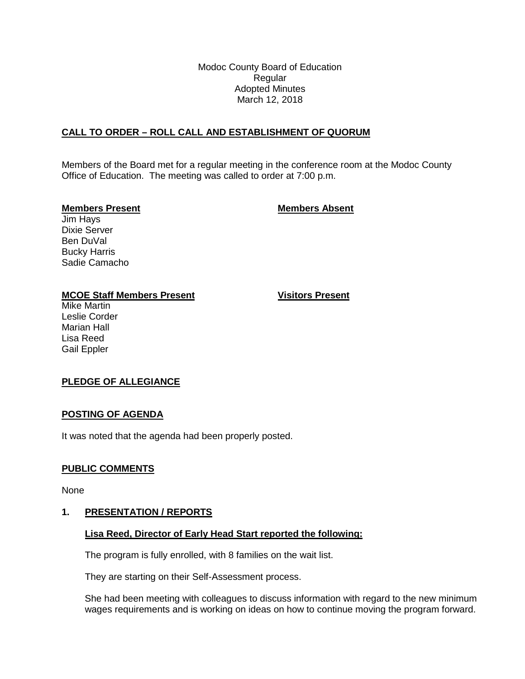Modoc County Board of Education Regular Adopted Minutes March 12, 2018

## **CALL TO ORDER – ROLL CALL AND ESTABLISHMENT OF QUORUM**

Members of the Board met for a regular meeting in the conference room at the Modoc County Office of Education. The meeting was called to order at 7:00 p.m.

#### **Members Present Members Absent**

Jim Hays Dixie Server Ben DuVal Bucky Harris Sadie Camacho

## **MCOE Staff Members Present Visitors Present**

Mike Martin Leslie Corder Marian Hall Lisa Reed Gail Eppler

# **PLEDGE OF ALLEGIANCE**

## **POSTING OF AGENDA**

It was noted that the agenda had been properly posted.

## **PUBLIC COMMENTS**

None

## **1. PRESENTATION / REPORTS**

## **Lisa Reed, Director of Early Head Start reported the following:**

The program is fully enrolled, with 8 families on the wait list.

They are starting on their Self-Assessment process.

She had been meeting with colleagues to discuss information with regard to the new minimum wages requirements and is working on ideas on how to continue moving the program forward.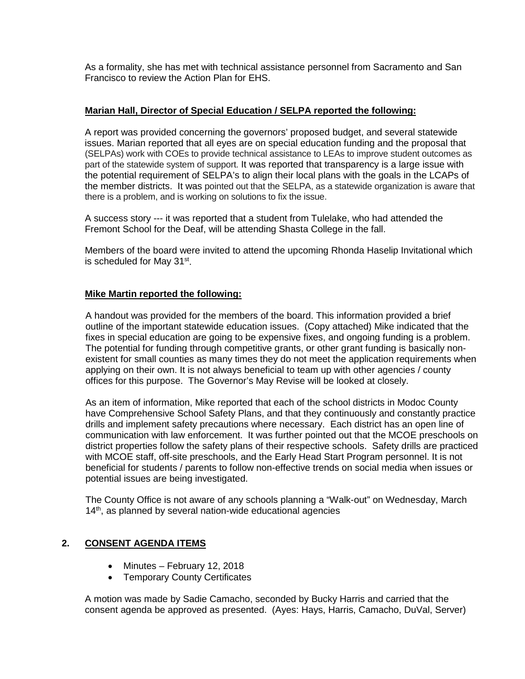As a formality, she has met with technical assistance personnel from Sacramento and San Francisco to review the Action Plan for EHS.

### **Marian Hall, Director of Special Education / SELPA reported the following:**

A report was provided concerning the governors' proposed budget, and several statewide issues. Marian reported that all eyes are on special education funding and the proposal that (SELPAs) work with COEs to provide technical assistance to LEAs to improve student outcomes as part of the statewide system of support. It was reported that transparency is a large issue with the potential requirement of SELPA's to align their local plans with the goals in the LCAPs of the member districts. It was pointed out that the SELPA, as a statewide organization is aware that there is a problem, and is working on solutions to fix the issue.

A success story --- it was reported that a student from Tulelake, who had attended the Fremont School for the Deaf, will be attending Shasta College in the fall.

Members of the board were invited to attend the upcoming Rhonda Haselip Invitational which is scheduled for May 31<sup>st</sup>.

#### **Mike Martin reported the following:**

A handout was provided for the members of the board. This information provided a brief outline of the important statewide education issues. (Copy attached) Mike indicated that the fixes in special education are going to be expensive fixes, and ongoing funding is a problem. The potential for funding through competitive grants, or other grant funding is basically nonexistent for small counties as many times they do not meet the application requirements when applying on their own. It is not always beneficial to team up with other agencies / county offices for this purpose. The Governor's May Revise will be looked at closely.

As an item of information, Mike reported that each of the school districts in Modoc County have Comprehensive School Safety Plans, and that they continuously and constantly practice drills and implement safety precautions where necessary. Each district has an open line of communication with law enforcement. It was further pointed out that the MCOE preschools on district properties follow the safety plans of their respective schools. Safety drills are practiced with MCOE staff, off-site preschools, and the Early Head Start Program personnel. It is not beneficial for students / parents to follow non-effective trends on social media when issues or potential issues are being investigated.

The County Office is not aware of any schools planning a "Walk-out" on Wednesday, March 14<sup>th</sup>, as planned by several nation-wide educational agencies

## **2. CONSENT AGENDA ITEMS**

- Minutes February 12, 2018
- Temporary County Certificates

A motion was made by Sadie Camacho, seconded by Bucky Harris and carried that the consent agenda be approved as presented. (Ayes: Hays, Harris, Camacho, DuVal, Server)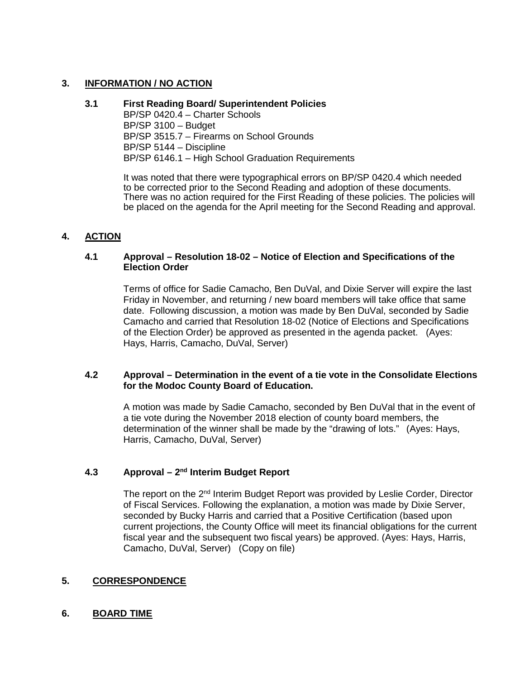### **3. INFORMATION / NO ACTION**

#### **3.1 First Reading Board/ Superintendent Policies**

BP/SP 0420.4 – Charter Schools BP/SP 3100 – Budget BP/SP 3515.7 – Firearms on School Grounds BP/SP 5144 – Discipline BP/SP 6146.1 – High School Graduation Requirements

It was noted that there were typographical errors on BP/SP 0420.4 which needed to be corrected prior to the Second Reading and adoption of these documents. There was no action required for the First Reading of these policies. The policies will be placed on the agenda for the April meeting for the Second Reading and approval.

#### **4. ACTION**

#### **4.1 Approval – Resolution 18-02 – Notice of Election and Specifications of the Election Order**

Terms of office for Sadie Camacho, Ben DuVal, and Dixie Server will expire the last Friday in November, and returning / new board members will take office that same date. Following discussion, a motion was made by Ben DuVal, seconded by Sadie Camacho and carried that Resolution 18-02 (Notice of Elections and Specifications of the Election Order) be approved as presented in the agenda packet. (Ayes: Hays, Harris, Camacho, DuVal, Server)

#### **4.2 Approval – Determination in the event of a tie vote in the Consolidate Elections for the Modoc County Board of Education.**

A motion was made by Sadie Camacho, seconded by Ben DuVal that in the event of a tie vote during the November 2018 election of county board members, the determination of the winner shall be made by the "drawing of lots." (Ayes: Hays, Harris, Camacho, DuVal, Server)

## **4.3 Approval – 2nd Interim Budget Report**

The report on the 2<sup>nd</sup> Interim Budget Report was provided by Leslie Corder, Director of Fiscal Services. Following the explanation, a motion was made by Dixie Server, seconded by Bucky Harris and carried that a Positive Certification (based upon current projections, the County Office will meet its financial obligations for the current fiscal year and the subsequent two fiscal years) be approved. (Ayes: Hays, Harris, Camacho, DuVal, Server) (Copy on file)

#### **5. CORRESPONDENCE**

#### **6. BOARD TIME**